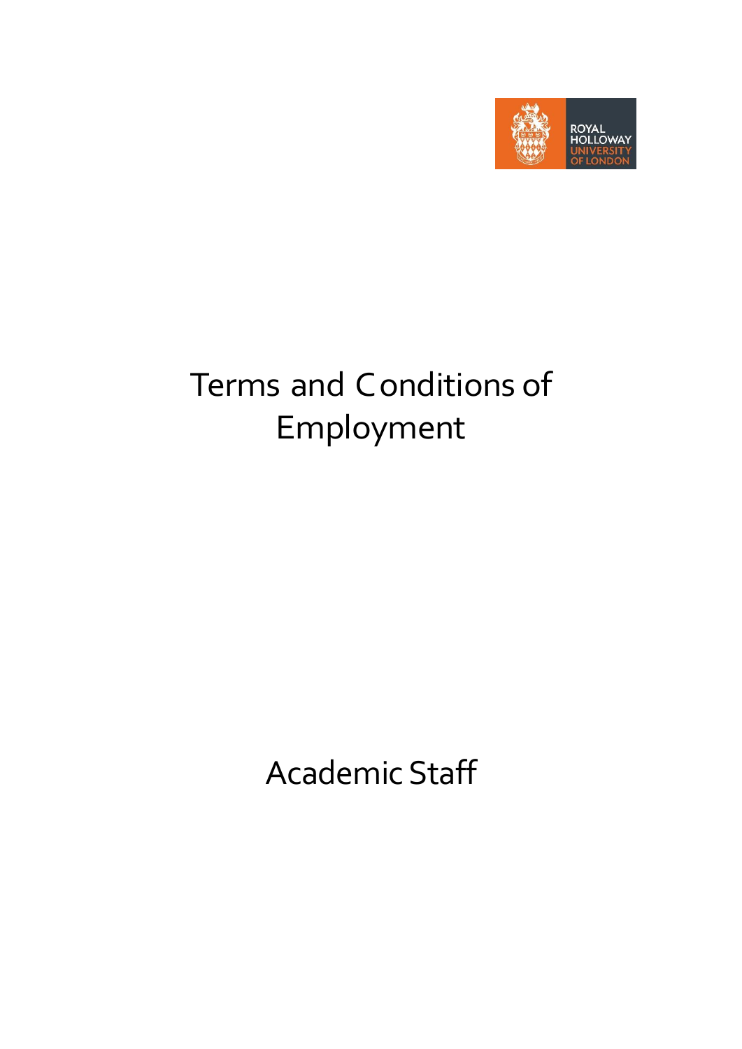

# Terms and Conditions of Employment

Academic Staff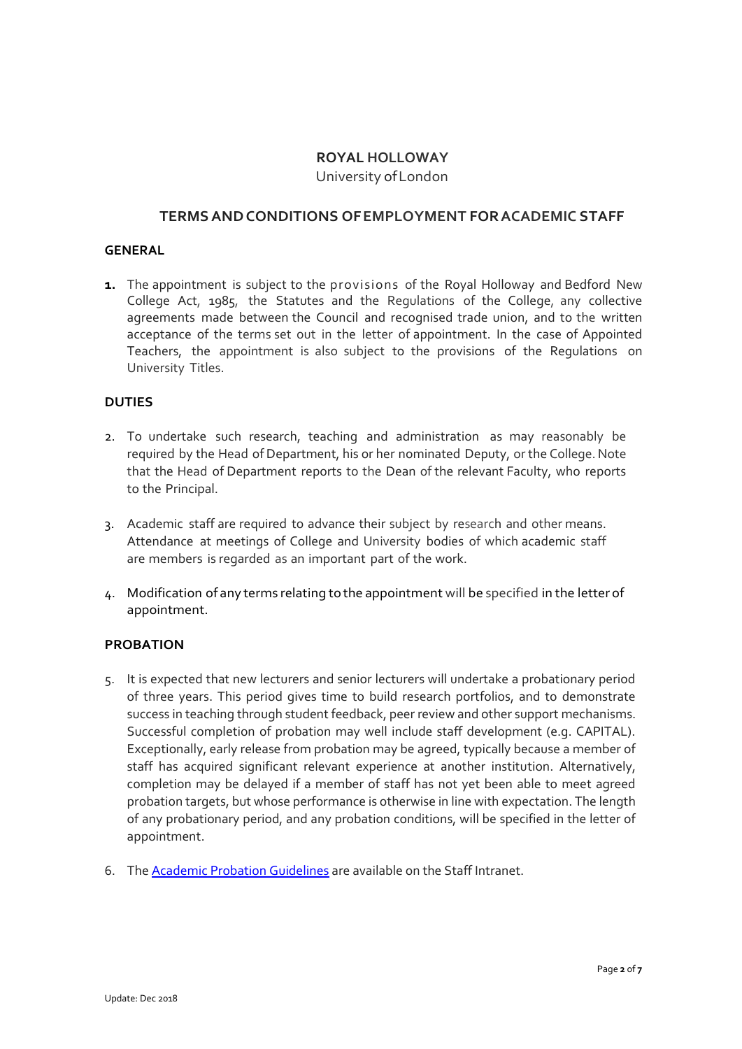# **ROYAL HOLLOWAY** University ofLondon

# **TERMSANDCONDITIONS OFEMPLOYMENT FORACADEMIC STAFF**

#### **GENERAL**

**1.** The appointment is subject to the provisions of the Royal Holloway and Bedford New College Act, 1985, the Statutes and the Regulations of the College, any collective agreements made between the Council and recognised trade union, and to the written acceptance of the terms set out in the letter of appointment. In the case of Appointed Teachers, the appointment is also subject to the provisions of the Regulations on University Titles.

#### **DUTIES**

- 2. To undertake such research, teaching and administration as may reasonably be required by the Head of Department, his or her nominated Deputy, or the College.Note that the Head of Department reports to the Dean of the relevant Faculty, who reports to the Principal.
- 3. Academic staff are required to advance their subject by research and other means. Attendance at meetings of College and University bodies of which academic staff are members is regarded as an important part of the work.
- 4. Modification of any terms relating to the appointment will be specified in the letter of appointment.

## **PROBATION**

- 5. It is expected that new lecturers and senior lecturers will undertake a probationary period of three years. This period gives time to build research portfolios, and to demonstrate success in teaching through student feedback, peer review and other support mechanisms. Successful completion of probation may well include staff development (e.g. CAPITAL). Exceptionally, early release from probation may be agreed, typically because a member of staff has acquired significant relevant experience at another institution. Alternatively, completion may be delayed if a member of staff has not yet been able to meet agreed probation targets, but whose performance is otherwise in line with expectation. The length of any probationary period, and any probation conditions, will be specified in the letter of appointment.
- 6. Th[e Academic Probation Guidelines](https://www.royalholloway.ac.uk/staff/your-employment/human-resources/policies-procedures-and-forms/a-h/probationary-periods.aspx) are available on th[e Staff Intranet.](https://www.royalholloway.ac.uk/staff/your-employment/home.aspx)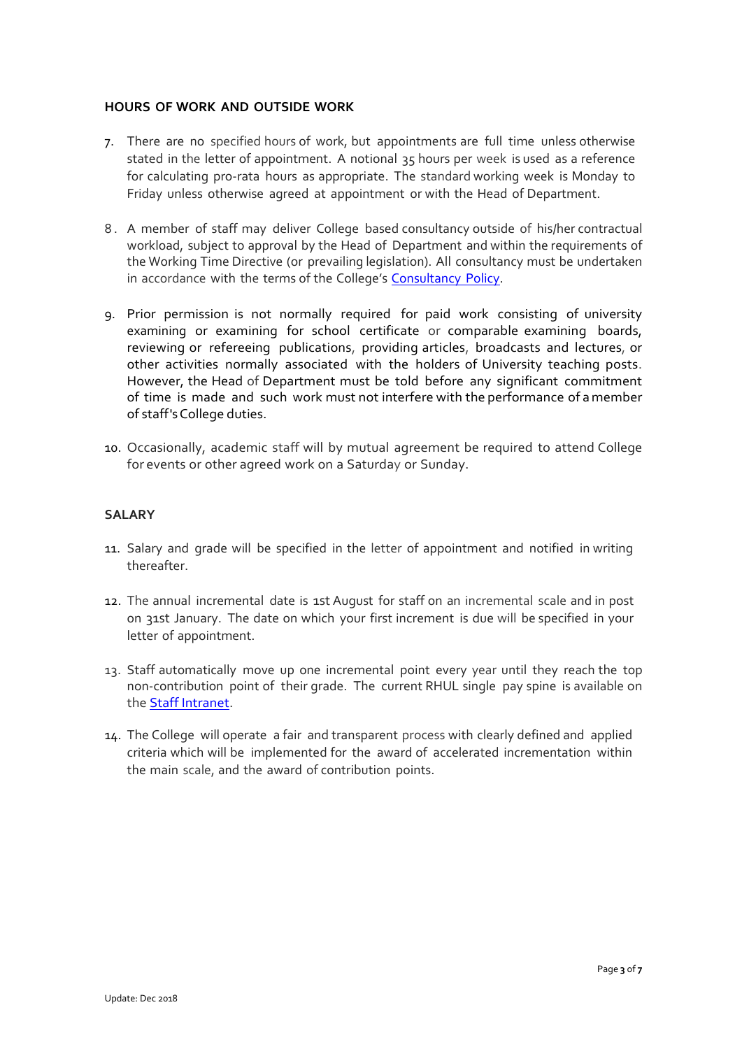## **HOURS OF WORK AND OUTSIDE WORK**

- 7. There are no specified hours of work, but appointments are full time unless otherwise stated in the letter of appointment. A notional 35 hours per week is used as a reference for calculating pro-rata hours as appropriate. The standard working week is Monday to Friday unless otherwise agreed at appointment or with the Head of Department.
- 8 . A member of staff may deliver College based consultancy outside of his/her contractual workload, subject to approval by the Head of Department and within the requirements of the Working Time Directive (or prevailing legislation). All consultancy must be undertaken in accordance with the terms of the College's [Consultancy](https://www.royalholloway.ac.uk/staff/assets/docs/pdf/policies-hub/research-and-enterprise/consultancypolicy.pdf) Policy.
- 9. Prior permission is not normally required for paid work consisting of university examining or examining for school certificate or comparable examining boards, reviewing or refereeing publications, providing articles, broadcasts and lectures, or other activities normally associated with the holders of University teaching posts. However, the Head of Department must be told before any significant commitment of time is made and such work must not interfere with the performance of amember of staff'sCollege duties.
- 10. Occasionally, academic staff will by mutual agreement be required to attend College for events or other agreed work on a Saturday or Sunday.

# **SALARY**

- 11. Salary and grade will be specified in the letter of appointment and notified in writing thereafter.
- 12. The annual incremental date is 1st August for staff on an incremental scale and in post on 31st January. The date on which your first increment is due will be specified in your letter of appointment.
- 13. Staff automatically move up one incremental point every year until they reach the top non-contribution point of their grade. The current RHUL single pay spine is available on the [Staff Intranet.](https://www.royalholloway.ac.uk/staff/your-employment/home.aspx)
- 14. The College will operate a fair and transparent process with clearly defined and applied criteria which will be implemented for the award of accelerated incrementation within the main scale, and the award of contribution points.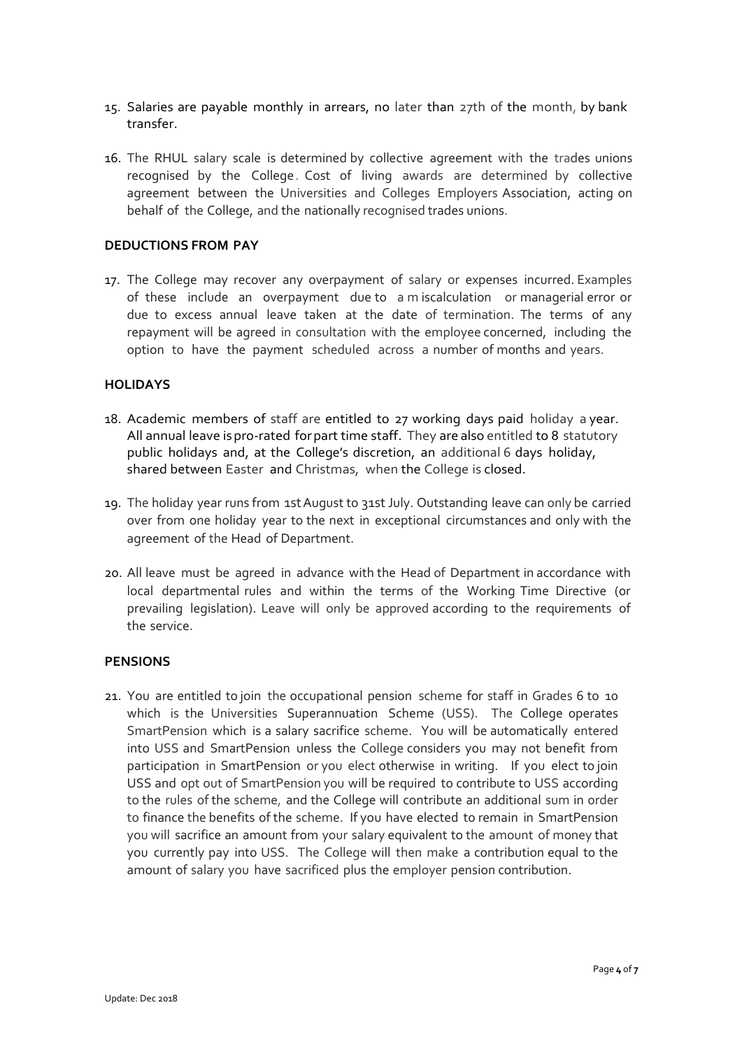- 15. Salaries are payable monthly in arrears, no later than 27th of the month, by bank transfer.
- 16. The RHUL salary scale is determined by collective agreement with the trades unions recognised by the College. Cost of living awards are determined by collective agreement between the Universities and Colleges Employers Association, acting on behalf of the College, and the nationally recognised trades unions.

#### **DEDUCTIONS FROM PAY**

17. The College may recover any overpayment of salary or expenses incurred. Examples of these include an overpayment due to a m iscalculation or managerial error or due to excess annual leave taken at the date of termination. The terms of any repayment will be agreed in consultation with the employee concerned, including the option to have the payment scheduled across a number of months and years.

#### **HOLIDAYS**

- 18. Academic members of staff are entitled to 27 working days paid holiday a year. All annual leave ispro-rated forpart time staff. They are also entitled to 8 statutory public holidays and, at the College's discretion, an additional 6 days holiday, shared between Easter and Christmas, when the College is closed.
- 19. The holiday year runs from 1stAugust to 31stJuly. Outstanding leave can only be carried over from one holiday year to the next in exceptional circumstances and only with the agreement of the Head of Department.
- 20. All leave must be agreed in advance with the Head of Department in accordance with local departmental rules and within the terms of the Working Time Directive (or prevailing legislation). Leave will only be approved according to the requirements of the service.

#### **PENSIONS**

21. You are entitled to join the occupational pension scheme for staff in Grades 6 to 10 which is the Universities Superannuation Scheme (USS). The College operates SmartPension which is a salary sacrifice scheme. You will be automatically entered into USS and SmartPension unless the College considers you may not benefit from participation in SmartPension or you elect otherwise in writing. If you elect to join USS and opt out of SmartPension you will be required to contribute to USS according to the rules of the scheme, and the College will contribute an additional sum in order to finance the benefits of the scheme. If you have elected to remain in SmartPension you will sacrifice an amount from your salary equivalent to the amount of money that you currently pay into USS. The College will then make a contribution equal to the amount of salary you have sacrificed plus the employer pension contribution.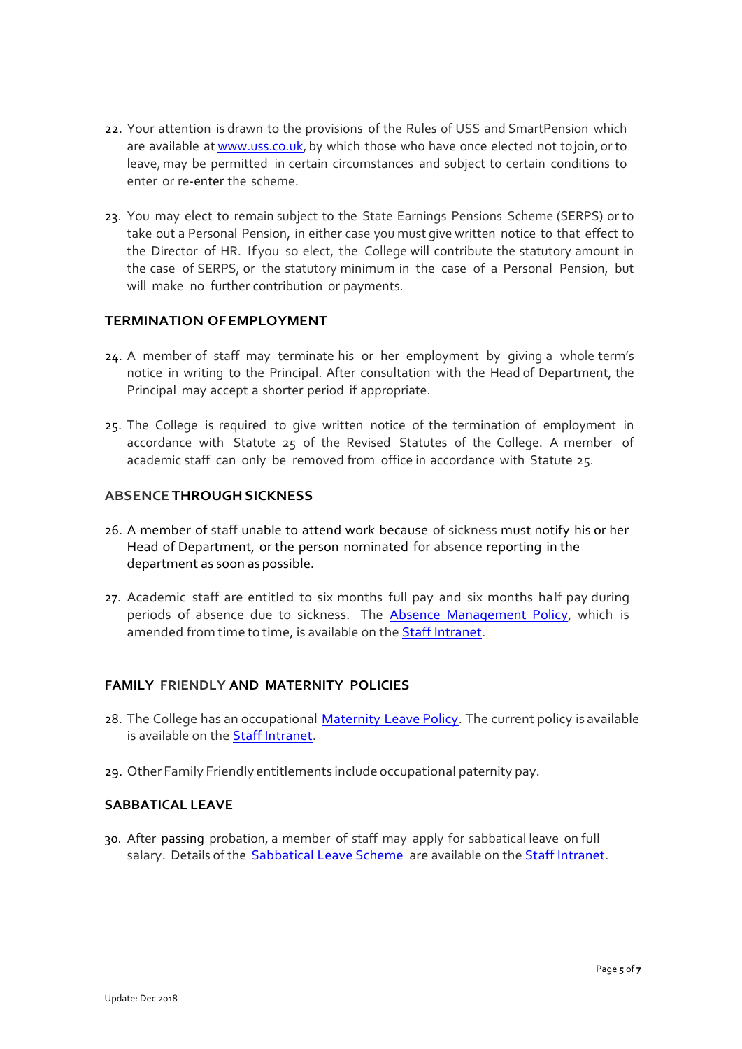- 22. Your attention is drawn to the provisions of the Rules of USS and SmartPension which are available at [www.uss.co.uk,](http://www.uss.co.uk/) by which those who have once elected not tojoin, or to leave, may be permitted in certain circumstances and subject to certain conditions to enter or re-enter the scheme.
- 23. You may elect to remain subject to the State Earnings Pensions Scheme (SERPS) or to take out a Personal Pension, in either case you must give written notice to that effect to the Director of HR. Ifyou so elect, the College will contribute the statutory amount in the case of SERPS, or the statutory minimum in the case of a Personal Pension, but will make no further contribution or payments.

# **TERMINATION OFEMPLOYMENT**

- 24. A member of staff may terminate his or her employment by giving a whole term's notice in writing to the Principal. After consultation with the Head of Department, the Principal may accept a shorter period if appropriate.
- 25. The College is required to give written notice of the termination of employment in accordance with Statute 25 of the Revised Statutes of the College. A member of academic staff can only be removed from office in accordance with Statute 25.

# **ABSENCE THROUGHSICKNESS**

- 26. A member of staff unable to attend work because of sickness must notify his or her Head of Department, or the person nominated for absence reporting in the department as soon as possible.
- 27. Academic staff are entitled to six months full pay and six months half pay during periods of absence due to sickness. The **Absence Management Policy**, which is amended from time to time, is available on the **Staff Intranet**.

# **FAMILY FRIENDLY AND MATERNITY POLICIES**

- 28. The College has an occupational [Maternity](https://www.royalholloway.ac.uk/staff/assets/docs/pdf/human-resources/maternity-leave-policy.pdf) Leave Policy. The current policy is available is available on the [Staff Intranet.](https://www.royalholloway.ac.uk/staff/your-employment/home.aspx)
- 29. Other Family Friendly entitlements include occupational paternity pay.

#### **SABBATICAL LEAVE**

30. After passing probation, a member of staff may apply for sabbatical leave on full salary. Details of the [Sabbatical](https://www.royalholloway.ac.uk/staff/your-employment/human-resources/policies-procedures-and-forms/a-h/sabbatical-leave-academic-members-of-staff.aspx) Leave Scheme are available on th[e Staff Intranet.](https://www.royalholloway.ac.uk/staff/your-employment/home.aspx)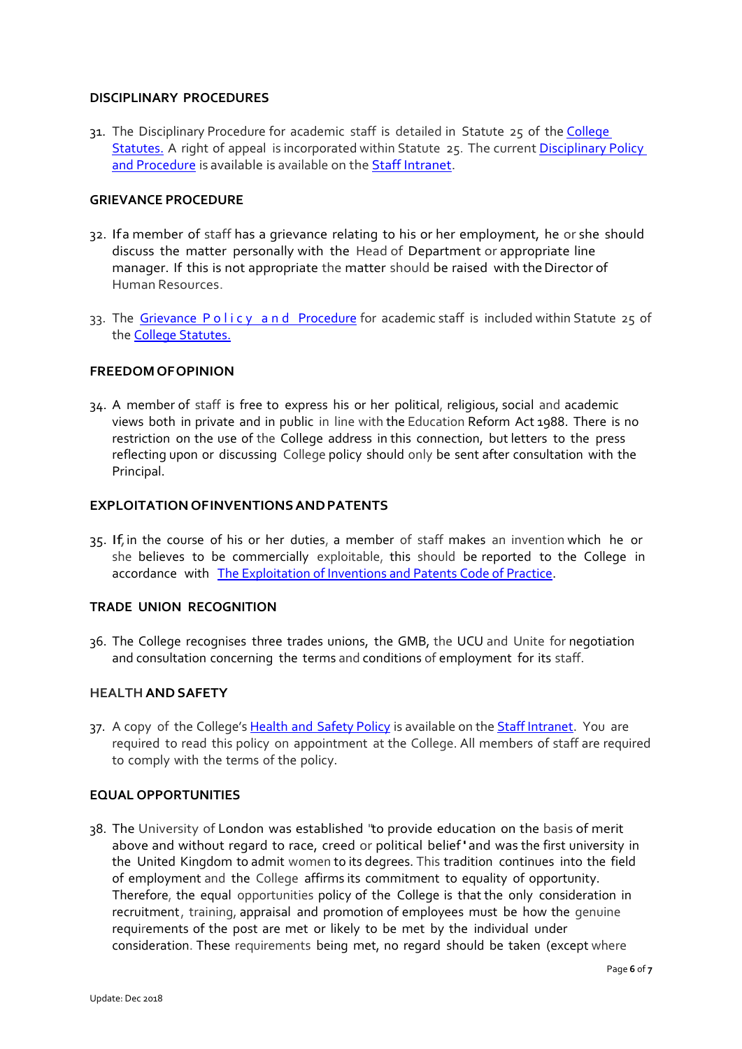#### **DISCIPLINARY PROCEDURES**

31. The Disciplinary Procedure for academic staff is detailed in Statute 25 of the [College](https://www.royalholloway.ac.uk/iquad/collegepolicies/documents/pdf/college-statutes-1-august-2016.pdf) [Statutes.](https://www.royalholloway.ac.uk/iquad/collegepolicies/documents/pdf/college-statutes-1-august-2016.pdf) A right of appeal is incorporated within Statute 25. The current [Disciplinary Policy](https://www.royalholloway.ac.uk/staff/assets/docs/pdf/human-resources/disciplinary-policy-and-procedure.pdf)  [and Procedure](https://www.royalholloway.ac.uk/staff/assets/docs/pdf/human-resources/disciplinary-policy-and-procedure.pdf) is available is available on the **Staff Intranet**.

## **GRIEVANCE PROCEDURE**

- 32. Ifa member of staff has a grievance relating to his or her employment, he or she should discuss the matter personally with the Head of Department or appropriate line manager. If this is not appropriate the matter should be raised with the Director of Human Resources.
- 33. The Grievance Policy and Procedure for academic staff is included within Statute 25 of the [College Statutes.](https://www.royalholloway.ac.uk/iquad/collegepolicies/documents/pdf/college-statutes-1-august-2016.pdf)

#### **FREEDOMOFOPINION**

34. A member of staff is free to express his or her political, religious, social and academic views both in private and in public in line with the Education Reform Act 1988. There is no restriction on the use of the College address in this connection, but letters to the press reflecting upon or discussing College policy should only be sent after consultation with the Principal.

#### **EXPLOITATION OFINVENTIONSANDPATENTS**

35. If,in the course of his or her duties, a member of staff makes an invention which he or she believes to be commercially exploitable, this should be reported to the College in accordance with [The Exploitation of Inventions and Patents Code of Practice.](https://www.royalholloway.ac.uk/staff/assets/docs/pdf/policies-hub/research-and-enterprise/exploitationofinventionsandpatents2014-3.pdf)

# **TRADE UNION RECOGNITION**

36. The College recognises three trades unions, the GMB, the UCU and Unite for negotiation and consultation concerning the terms and conditions of employment for its staff.

#### **HEALTHANDSAFETY**

37. A copy of the College's Health and [Safety Policy](https://www.royalholloway.ac.uk/staff/assets/docs/pdf/health-and-safety/health-and-safety-policy-final.pdf) is available on the [Staff Intranet.](https://www.royalholloway.ac.uk/staff/tools-and-links/health-and-safety/health-and-safety-office.aspx) You are required to read this policy on appointment at the College. All members of staff are required to comply with the terms of the policy.

#### **EQUAL OPPORTUNITIES**

38. The University of London was established "to provide education on the basis of merit above and without regard to race, creed or political belief'and was the first university in the United Kingdom to admit women to its degrees. This tradition continues into the field of employment and the College affirms its commitment to equality of opportunity. Therefore, the equal opportunities policy of the College is that the only consideration in recruitment, training, appraisal and promotion of employees must be how the genuine requirements of the post are met or likely to be met by the individual under consideration. These requirements being met, no regard should be taken (except where